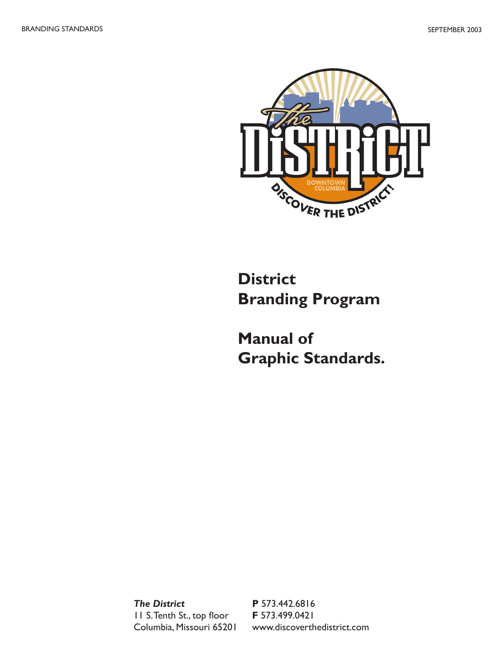

**District Branding Program** 

**Manual of Graphic Standards.**

*The District* **P** 573.442.6816 11 S. Tenth St., top floor **F** 573.499.0421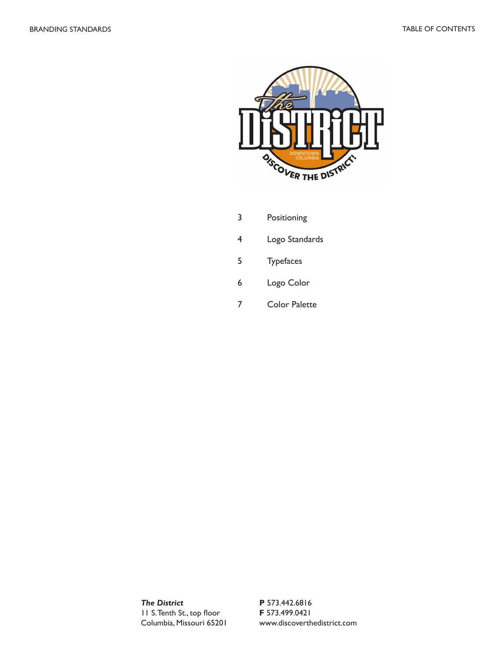

- 3 Positioning
- 4 Logo Standards
- 5 Typefaces
- 6 Logo Color
- 7 Color Palette

*The District* **P** 573.442.6816 11 S. Tenth St., top floor **F** 573.499.0421<br>Columbia, Missouri 65201 www.discoverth

www.discoverthedistrict.com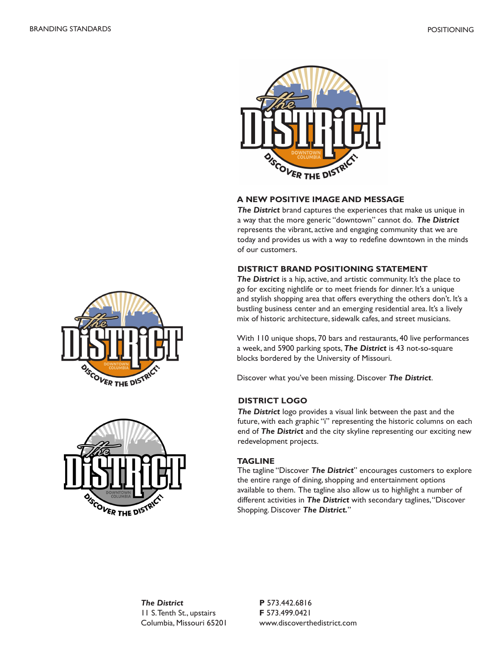

# **A NEW POSITIVE IMAGE AND MESSAGE**

*The District* brand captures the experiences that make us unique in a way that the more generic "downtown" cannot do. *The District* represents the vibrant, active and engaging community that we are today and provides us with a way to redefine downtown in the minds of our customers.

# **DISTRICT BRAND POSITIONING STATEMENT**

*The District* is a hip, active, and artistic community. It's the place to go for exciting nightlife or to meet friends for dinner. It's a unique and stylish shopping area that offers everything the others don't. It's a bustling business center and an emerging residential area. It's a lively mix of historic architecture, sidewalk cafes, and street musicians.

With 110 unique shops, 70 bars and restaurants, 40 live performances a week, and 5900 parking spots, *The District* is 43 not-so-square blocks bordered by the University of Missouri.

Discover what you've been missing. Discover *The District*.

# **DISTRICT LOGO**

*The District* logo provides a visual link between the past and the future, with each graphic "i" representing the historic columns on each end of *The District* and the city skyline representing our exciting new redevelopment projects.

#### **TAGLINE**

The tagline "Discover *The District*" encourages customers to explore the entire range of dining, shopping and entertainment options available to them. The tagline also allow us to highlight a number of different activities in *The District* with secondary taglines, "Discover Shopping. Discover *The District.*"





*The District* **P** 573.442.6816 11 S. Tenth St., upstairs **F** 573.499.0421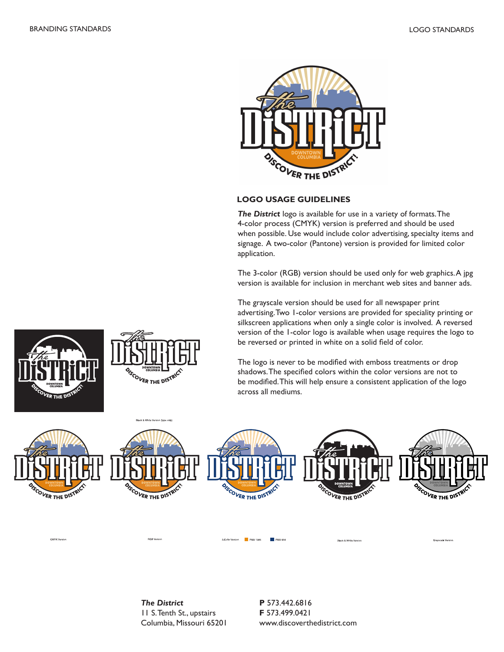

#### **LOGO USAGE GUIDELINES**

*The District* logo is available for use in a variety of formats. The 4-color process (CMYK) version is preferred and should be used when possible. Use would include color advertising, specialty items and signage. A two-color (Pantone) version is provided for limited color application.

The 3-color (RGB) version should be used only for web graphics. A jpg version is available for inclusion in merchant web sites and banner ads.

The grayscale version should be used for all newspaper print advertising. Two 1-color versions are provided for speciality printing or silkscreen applications when only a single color is involved. A reversed version of the 1-color logo is available when usage requires the logo to be reversed or printed in white on a solid field of color.

The logo is never to be modified with emboss treatments or drop shadows. The specified colors within the color versions are not to be modified. This will help ensure a consistent application of the logo across all mediums.

Black & White Version

Gravaçale Version



**PMS** 1385

*The District* **P** 573.442.6816 11 S. Tenth St., upstairs **F** 573.499.0421



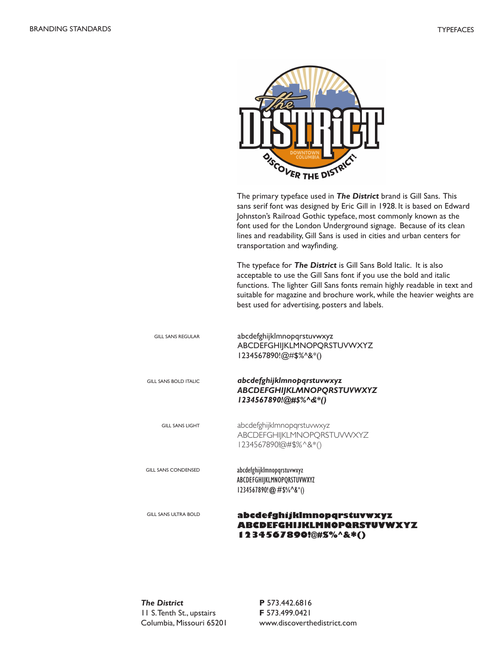

The primary typeface used in *The District* brand is Gill Sans. This sans serif font was designed by Eric Gill in 1928. It is based on Edward Johnston's Railroad Gothic typeface, most commonly known as the font used for the London Underground signage. Because of its clean lines and readability, Gill Sans is used in cities and urban centers for transportation and wayfinding.

The typeface for *The District* is Gill Sans Bold Italic. It is also acceptable to use the Gill Sans font if you use the bold and italic functions. The lighter Gill Sans fonts remain highly readable in text and suitable for magazine and brochure work, while the heavier weights are best used for advertising, posters and labels.

| <b>GILL SANS REGULAR</b>     | abcdefghijklmnopqrstuvwxyz<br>ABCDEFGHIJKLMNOPQRSTUVWXYZ<br>1234567890!@#\$%^&*()     |
|------------------------------|---------------------------------------------------------------------------------------|
| <b>GILL SANS BOLD ITALIC</b> | abcdefghijklmnopqrstuvwxyz<br>ABCDEFGHIJKLMNOPQRSTUVWXYZ<br>1234567890!@#\$%^&*()     |
| <b>GILL SANS LIGHT</b>       | abcdefghijklmnopqrstuvwxyz<br>ABCDEFGHIJKLMNOPQRSTUVWXYZ<br>1234567890!@#\$%^&*()     |
| <b>GILL SANS CONDENSED</b>   | abcdefghijklmnopqrstuvwxyz<br>ABCDEFGHIJKLMNOPQRSTUVWXYZ<br>$1234567890!$ @ #\$%^&*() |
| <b>GILL SANS ULTRA BOLD</b>  | abcdefghijkimnopqrstuvwxyz<br>ABCDEFGHIJKLMNOPORSTUVW<br>1234567890!@#8%^&*()         |

*The District* **P** 573.442.6816 11 S. Tenth St., upstairs **F** 573.499.0421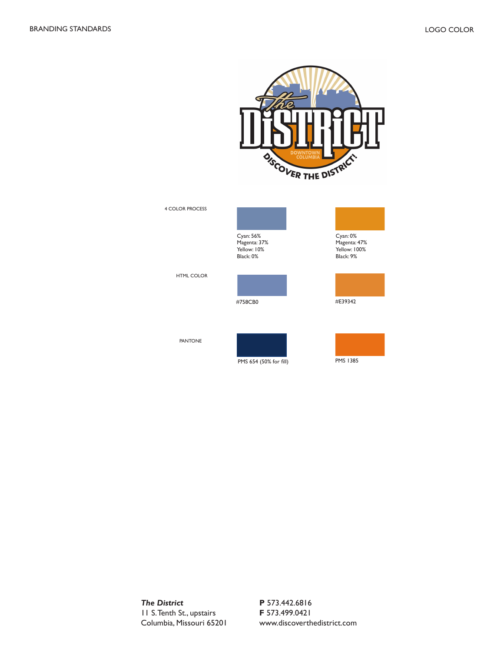



*The District* **P** 573.442.6816 11 S. Tenth St., upstairs **F** 573.499.0421

www.discoverthedistrict.com